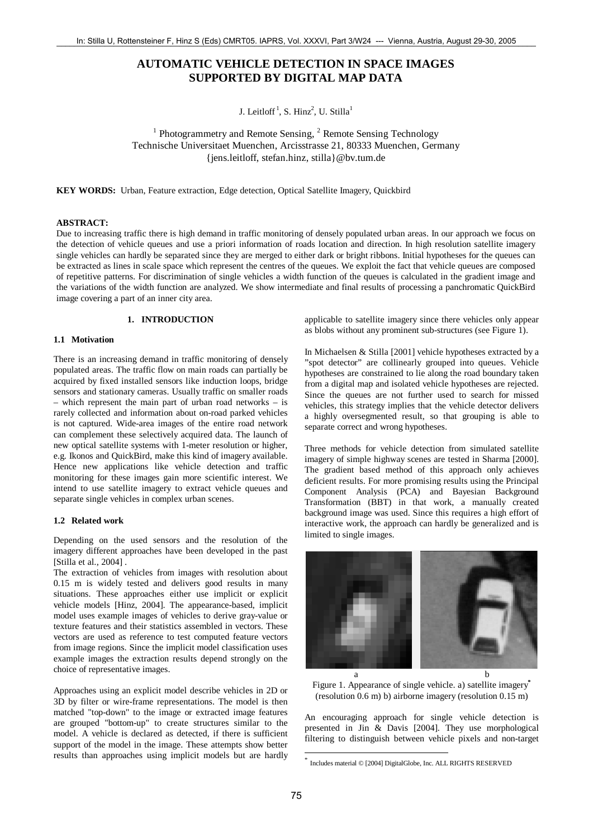# **AUTOMATIC VEHICLE DETECTION IN SPACE IMAGES SUPPORTED BY DIGITAL MAP DATA**

J. Leitloff<sup>1</sup>, S. Hinz<sup>2</sup>, U. Stilla<sup>1</sup>

<sup>1</sup> Photogrammetry and Remote Sensing, <sup>2</sup> Remote Sensing Technology Technische Universitaet Muenchen, Arcisstrasse 21, 80333 Muenchen, Germany {jens.leitloff, stefan.hinz, stilla}@bv.tum.de

**KEY WORDS:** Urban, Feature extraction, Edge detection, Optical Satellite Imagery, Quickbird

#### **ABSTRACT:**

Due to increasing traffic there is high demand in traffic monitoring of densely populated urban areas. In our approach we focus on the detection of vehicle queues and use a priori information of roads location and direction. In high resolution satellite imagery single vehicles can hardly be separated since they are merged to either dark or bright ribbons. Initial hypotheses for the queues can be extracted as lines in scale space which represent the centres of the queues. We exploit the fact that vehicle queues are composed of repetitive patterns. For discrimination of single vehicles a width function of the queues is calculated in the gradient image and the variations of the width function are analyzed. We show intermediate and final results of processing a panchromatic QuickBird image covering a part of an inner city area.

# **1. INTRODUCTION**

#### **1.1 Motivation**

There is an increasing demand in traffic monitoring of densely populated areas. The traffic flow on main roads can partially be acquired by fixed installed sensors like induction loops, bridge sensors and stationary cameras. Usually traffic on smaller roads – which represent the main part of urban road networks – is rarely collected and information about on-road parked vehicles is not captured. Wide-area images of the entire road network can complement these selectively acquired data. The launch of new optical satellite systems with 1-meter resolution or higher, e.g. Ikonos and QuickBird, make this kind of imagery available. Hence new applications like vehicle detection and traffic monitoring for these images gain more scientific interest. We intend to use satellite imagery to extract vehicle queues and separate single vehicles in complex urban scenes.

# **1.2 Related work**

Depending on the used sensors and the resolution of the imagery different approaches have been developed in the past [Stilla et al., 2004] .

The extraction of vehicles from images with resolution about 0.15 m is widely tested and delivers good results in many situations. These approaches either use implicit or explicit vehicle models [Hinz, 2004]. The appearance-based, implicit model uses example images of vehicles to derive gray-value or texture features and their statistics assembled in vectors. These vectors are used as reference to test computed feature vectors from image regions. Since the implicit model classification uses example images the extraction results depend strongly on the choice of representative images.

Approaches using an explicit model describe vehicles in 2D or 3D by filter or wire-frame representations. The model is then matched "top-down" to the image or extracted image features are grouped "bottom-up" to create structures similar to the model. A vehicle is declared as detected, if there is sufficient support of the model in the image. These attempts show better results than approaches using implicit models but are hardly applicable to satellite imagery since there vehicles only appear as blobs without any prominent sub-structures (see Figure 1).

In Michaelsen & Stilla [2001] vehicle hypotheses extracted by a "spot detector" are collinearly grouped into queues. Vehicle hypotheses are constrained to lie along the road boundary taken from a digital map and isolated vehicle hypotheses are rejected. Since the queues are not further used to search for missed vehicles, this strategy implies that the vehicle detector delivers a highly oversegmented result, so that grouping is able to separate correct and wrong hypotheses.

Three methods for vehicle detection from simulated satellite imagery of simple highway scenes are tested in Sharma [2000]. The gradient based method of this approach only achieves deficient results. For more promising results using the Principal Component Analysis (PCA) and Bayesian Background Transformation (BBT) in that work, a manually created background image was used. Since this requires a high effort of interactive work, the approach can hardly be generalized and is limited to single images.



Figure 1. Appearance of single vehicle. a) satellite imagery**\*** (resolution 0.6 m) b) airborne imagery (resolution 0.15 m)

An encouraging approach for single vehicle detection is presented in Jin & Davis [2004]. They use morphological filtering to distinguish between vehicle pixels and non-target

1

Includes material © [2004] DigitalGlobe, Inc. ALL RIGHTS RESERVED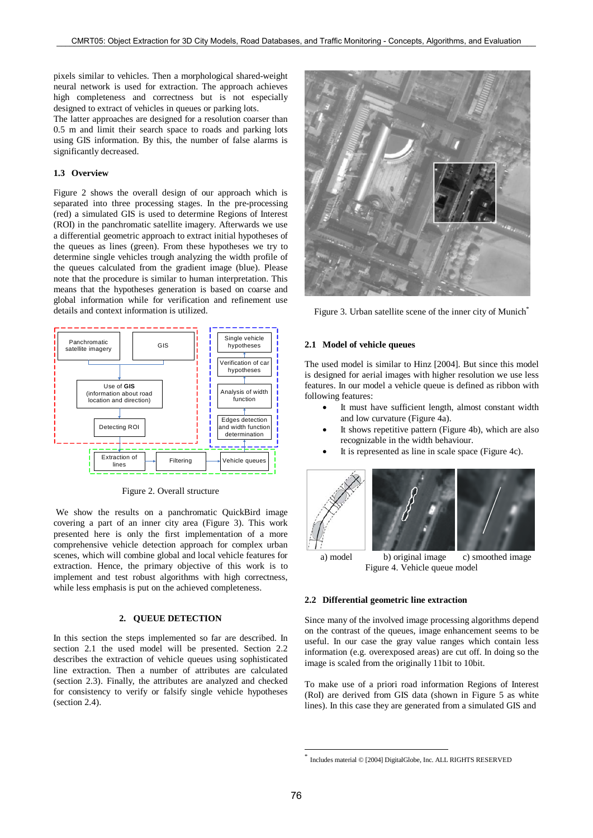pixels similar to vehicles. Then a morphological shared-weight neural network is used for extraction. The approach achieves high completeness and correctness but is not especially designed to extract of vehicles in queues or parking lots.

The latter approaches are designed for a resolution coarser than 0.5 m and limit their search space to roads and parking lots using GIS information. By this, the number of false alarms is significantly decreased.

### **1.3 Overview**

Figure 2 shows the overall design of our approach which is separated into three processing stages. In the pre-processing (red) a simulated GIS is used to determine Regions of Interest (ROI) in the panchromatic satellite imagery. Afterwards we use a differential geometric approach to extract initial hypotheses of the queues as lines (green). From these hypotheses we try to determine single vehicles trough analyzing the width profile of the queues calculated from the gradient image (blue). Please note that the procedure is similar to human interpretation. This means that the hypotheses generation is based on coarse and global information while for verification and refinement use details and context information is utilized.



Figure 2. Overall structure

We show the results on a panchromatic QuickBird image covering a part of an inner city area (Figure 3). This work presented here is only the first implementation of a more comprehensive vehicle detection approach for complex urban scenes, which will combine global and local vehicle features for extraction. Hence, the primary objective of this work is to implement and test robust algorithms with high correctness, while less emphasis is put on the achieved completeness.

# **2. QUEUE DETECTION**

In this section the steps implemented so far are described. In section 2.1 the used model will be presented. Section 2.2 describes the extraction of vehicle queues using sophisticated line extraction. Then a number of attributes are calculated (section 2.3). Finally, the attributes are analyzed and checked for consistency to verify or falsify single vehicle hypotheses (section 2.4).



Figure 3. Urban satellite scene of the inner city of Munich<sup>\*</sup>

#### **2.1 Model of vehicle queues**

The used model is similar to Hinz [2004]. But since this model is designed for aerial images with higher resolution we use less features. In our model a vehicle queue is defined as ribbon with following features:

- It must have sufficient length, almost constant width and low curvature (Figure 4a).
- It shows repetitive pattern (Figure 4b), which are also recognizable in the width behaviour.
- It is represented as line in scale space (Figure 4c).



a) model b) original image c) smoothed image Figure 4. Vehicle queue model

#### **2.2 Differential geometric line extraction**

Since many of the involved image processing algorithms depend on the contrast of the queues, image enhancement seems to be useful. In our case the gray value ranges which contain less information (e.g. overexposed areas) are cut off. In doing so the image is scaled from the originally 11bit to 10bit.

To make use of a priori road information Regions of Interest (RoI) are derived from GIS data (shown in Figure 5 as white lines). In this case they are generated from a simulated GIS and

1

Includes material © [2004] DigitalGlobe, Inc. ALL RIGHTS RESERVED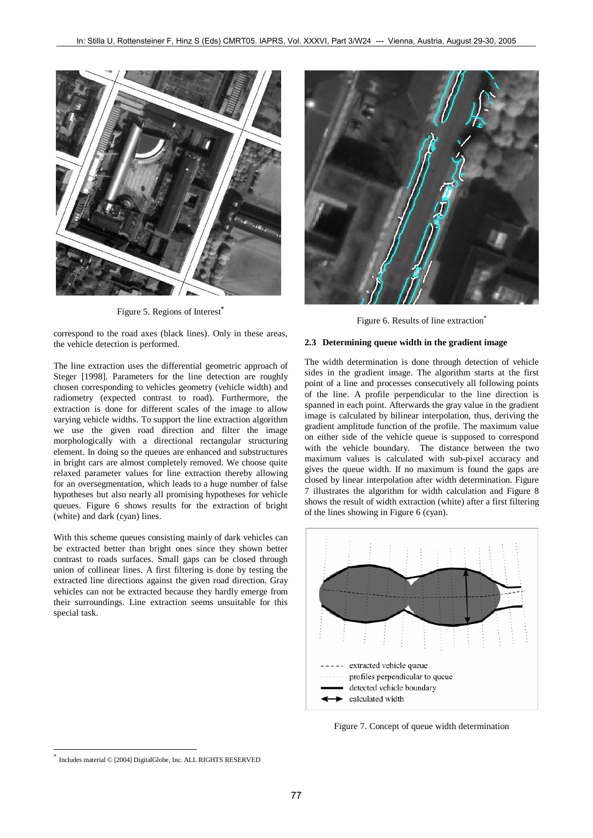

Figure 5. Regions of Interest<sup>\*</sup>

correspond to the road axes (black lines). Only in these areas, the vehicle detection is performed.

The line extraction uses the differential geometric approach of Steger [1998]. Parameters for the line detection are roughly chosen corresponding to vehicles geometry (vehicle width) and radiometry (expected contrast to road). Furthermore, the extraction is done for different scales of the image to allow varying vehicle widths. To support the line extraction algorithm we use the given road direction and filter the image morphologically with a directional rectangular structuring element. In doing so the queues are enhanced and substructures in bright cars are almost completely removed. We choose quite relaxed parameter values for line extraction thereby allowing for an oversegmentation, which leads to a huge number of false hypotheses but also nearly all promising hypotheses for vehicle queues. Figure 6 shows results for the extraction of bright (white) and dark (cyan) lines.

With this scheme queues consisting mainly of dark vehicles can be extracted better than bright ones since they shown better contrast to roads surfaces. Small gaps can be closed through union of collinear lines. A first filtering is done by testing the extracted line directions against the given road direction. Gray vehicles can not be extracted because they hardly emerge from their surroundings. Line extraction seems unsuitable for this special task.



Figure 6. Results of line extraction<sup>\*</sup>

#### **2.3 Determining queue width in the gradient image**

The width determination is done through detection of vehicle sides in the gradient image. The algorithm starts at the first point of a line and processes consecutively all following points of the line. A profile perpendicular to the line direction is spanned in each point. Afterwards the gray value in the gradient image is calculated by bilinear interpolation, thus, deriving the gradient amplitude function of the profile. The maximum value on either side of the vehicle queue is supposed to correspond with the vehicle boundary. The distance between the two maximum values is calculated with sub-pixel accuracy and gives the queue width. If no maximum is found the gaps are closed by linear interpolation after width determination. Figure 7 illustrates the algorithm for width calculation and Figure 8 shows the result of width extraction (white) after a first filtering of the lines showing in Figure 6 (cyan).



Figure 7. Concept of queue width determination

l

Includes material © [2004] DigitalGlobe, Inc. ALL RIGHTS RESERVED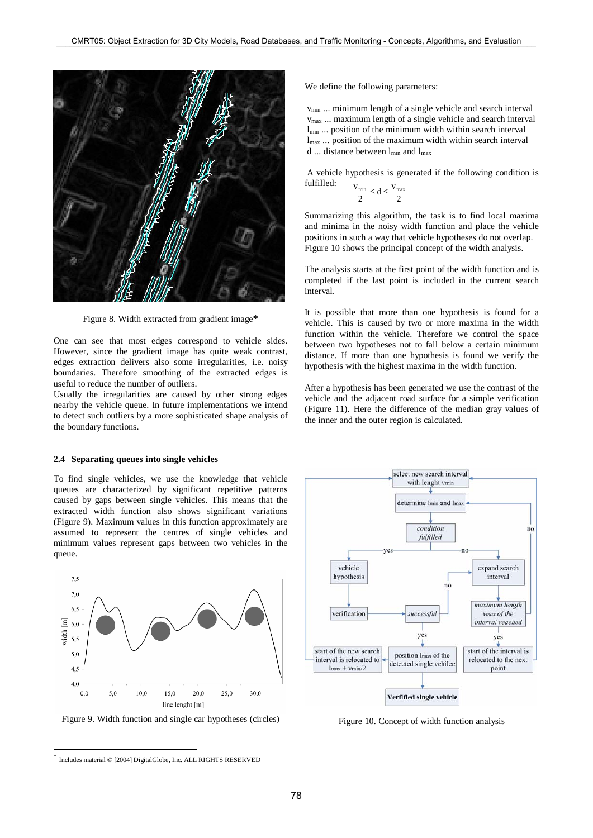

Figure 8. Width extracted from gradient image**\***

One can see that most edges correspond to vehicle sides. However, since the gradient image has quite weak contrast, edges extraction delivers also some irregularities, i.e. noisy boundaries. Therefore smoothing of the extracted edges is useful to reduce the number of outliers.

Usually the irregularities are caused by other strong edges nearby the vehicle queue. In future implementations we intend to detect such outliers by a more sophisticated shape analysis of the boundary functions.

#### **2.4 Separating queues into single vehicles**

To find single vehicles, we use the knowledge that vehicle queues are characterized by significant repetitive patterns caused by gaps between single vehicles. This means that the extracted width function also shows significant variations (Figure 9). Maximum values in this function approximately are assumed to represent the centres of single vehicles and minimum values represent gaps between two vehicles in the queue.



 $\overline{a}$ 

We define the following parameters:

 $v_{\text{min}}$  ... minimum length of a single vehicle and search interval vmax ... maximum length of a single vehicle and search interval  $l_{min}$  ... position of the minimum width within search interval lmax ... position of the maximum width within search interval d ... distance between  $l_{min}$  and  $l_{max}$ 

 A vehicle hypothesis is generated if the following condition is fulfilled:

$$
\frac{v_{\text{min}}}{2} \leq d \leq \frac{v_{\text{max}}}{2}
$$

Summarizing this algorithm, the task is to find local maxima and minima in the noisy width function and place the vehicle positions in such a way that vehicle hypotheses do not overlap. Figure 10 shows the principal concept of the width analysis.

The analysis starts at the first point of the width function and is completed if the last point is included in the current search interval.

It is possible that more than one hypothesis is found for a vehicle. This is caused by two or more maxima in the width function within the vehicle. Therefore we control the space between two hypotheses not to fall below a certain minimum distance. If more than one hypothesis is found we verify the hypothesis with the highest maxima in the width function.

After a hypothesis has been generated we use the contrast of the vehicle and the adjacent road surface for a simple verification (Figure 11). Here the difference of the median gray values of the inner and the outer region is calculated.



Figure 10. Concept of width function analysis

Includes material © [2004] DigitalGlobe, Inc. ALL RIGHTS RESERVED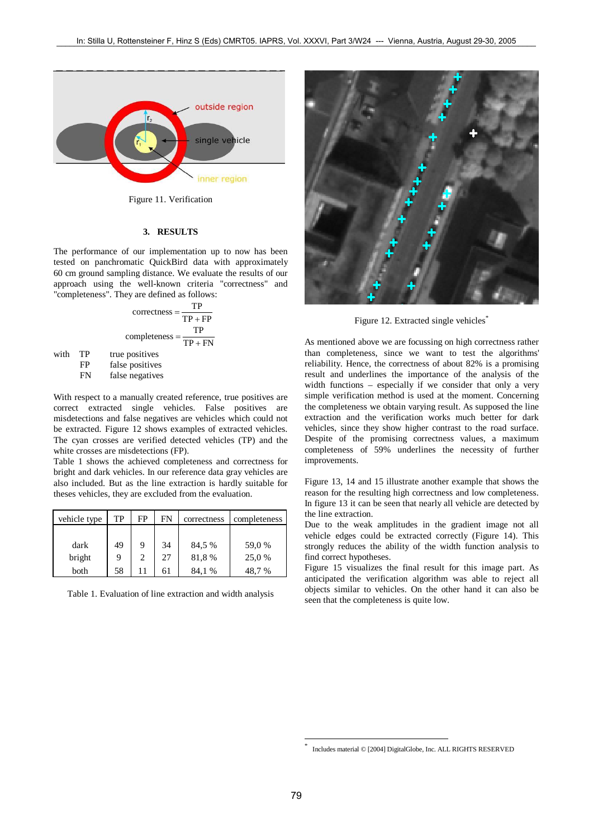

Figure 11. Verification

#### **3. RESULTS**

The performance of our implementation up to now has been tested on panchromatic QuickBird data with approximately 60 cm ground sampling distance. We evaluate the results of our approach using the well-known criteria "correctness" and "completeness". They are defined as follows:

$$
correctness = \frac{TP}{TP + FP}
$$

$$
completeness = \frac{TP}{TP + FN}
$$

with TP true positives

FP false positives<br>FN false negatives

false negatives

With respect to a manually created reference, true positives are correct extracted single vehicles. False positives are misdetections and false negatives are vehicles which could not be extracted. Figure 12 shows examples of extracted vehicles. The cyan crosses are verified detected vehicles (TP) and the white crosses are misdetections (FP).

Table 1 shows the achieved completeness and correctness for bright and dark vehicles. In our reference data gray vehicles are also included. But as the line extraction is hardly suitable for theses vehicles, they are excluded from the evaluation.

| vehicle type | TP | FP | FN | correctness | completeness |
|--------------|----|----|----|-------------|--------------|
|              |    |    |    |             |              |
| dark         | 49 | 9  | 34 | 84,5 %      | 59,0 %       |
| bright       | Q  | C  | 27 | 81,8%       | 25,0 %       |
| both         | 58 |    | 61 | 84.1 %      | 48.7 %       |

Table 1. Evaluation of line extraction and width analysis



Figure 12. Extracted single vehicles<sup>\*</sup>

As mentioned above we are focussing on high correctness rather than completeness, since we want to test the algorithms' reliability. Hence, the correctness of about 82% is a promising result and underlines the importance of the analysis of the width functions – especially if we consider that only a very simple verification method is used at the moment. Concerning the completeness we obtain varying result. As supposed the line extraction and the verification works much better for dark vehicles, since they show higher contrast to the road surface. Despite of the promising correctness values, a maximum completeness of 59% underlines the necessity of further improvements.

Figure 13, 14 and 15 illustrate another example that shows the reason for the resulting high correctness and low completeness. In figure 13 it can be seen that nearly all vehicle are detected by the line extraction.

Due to the weak amplitudes in the gradient image not all vehicle edges could be extracted correctly (Figure 14). This strongly reduces the ability of the width function analysis to find correct hypotheses.

Figure 15 visualizes the final result for this image part. As anticipated the verification algorithm was able to reject all objects similar to vehicles. On the other hand it can also be seen that the completeness is quite low.

1 \*

Includes material © [2004] DigitalGlobe, Inc. ALL RIGHTS RESERVED